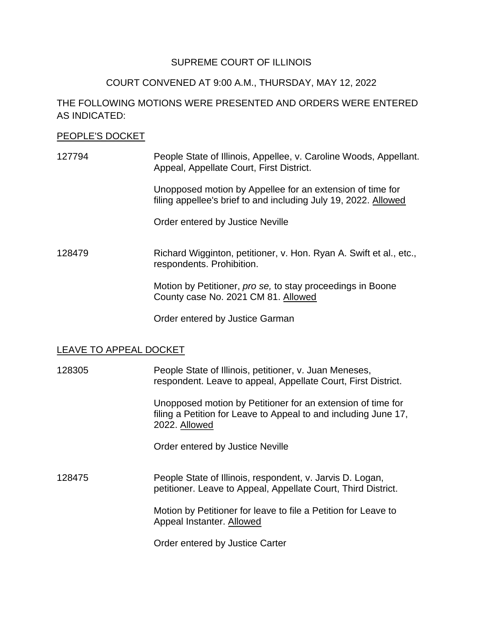### SUPREME COURT OF ILLINOIS

## COURT CONVENED AT 9:00 A.M., THURSDAY, MAY 12, 2022

# THE FOLLOWING MOTIONS WERE PRESENTED AND ORDERS WERE ENTERED AS INDICATED:

#### PEOPLE'S DOCKET

127794 People State of Illinois, Appellee, v. Caroline Woods, Appellant. Appeal, Appellate Court, First District.

> filing appellee's brief to and including July 19, 2022. Allowed Unopposed motion by Appellee for an extension of time for

Order entered by Justice Neville

128479 Richard Wigginton, petitioner, v. Hon. Ryan A. Swift et al., etc., respondents. Prohibition.

> County case No. 2021 CM 81. Allowed Motion by Petitioner, *pro se,* to stay proceedings in Boone

Order entered by Justice Garman

## LEAVE TO APPEAL DOCKET

128305 People State of Illinois, petitioner, v. Juan Meneses, respondent. Leave to appeal, Appellate Court, First District.

> Unopposed motion by Petitioner for an extension of time for filing a Petition for Leave to Appeal to and including June 17, 2022. Allowed

Order entered by Justice Neville

 128475 People State of Illinois, respondent, v. Jarvis D. Logan, petitioner. Leave to Appeal, Appellate Court, Third District.

> Motion by Petitioner for leave to file a Petition for Leave to Appeal Instanter. Allowed

Order entered by Justice Carter